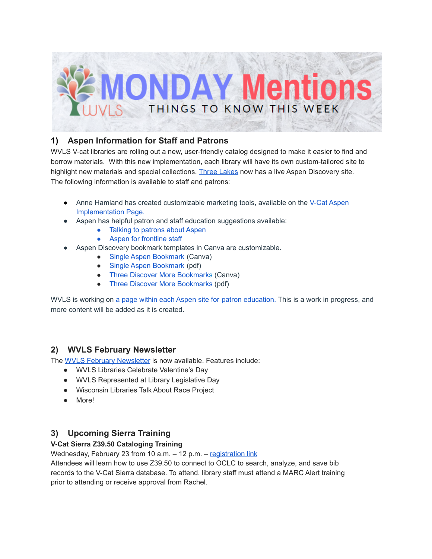

## **1) Aspen Information for Staff and Patrons**

WVLS V-cat libraries are rolling out a new, user-friendly catalog designed to make it easier to find and borrow materials. With this new implementation, each library will have its own custom-tailored site to highlight new materials and special collections. Three [Lakes](https://demmer.catalog.wvls.org/?browseCategory=threelakes_new_at_the_demmer) now has a live Aspen Discovery site. The following information is available to staff and patrons:

- Anne Hamland has created customizable marketing tools, available on the V-Cat [Aspen](https://www.wvls.org/v-cat-aspen-implementation/) [Implementation](https://www.wvls.org/v-cat-aspen-implementation/) Page.
- Aspen has helpful patron and staff education suggestions available:
	- Talking to [patrons](https://drive.google.com/file/u/0/d/1oQIckf14cZAo0Vl5vuhqgC2k_hW33_Fy/view) about Aspen
	- Aspen for [frontline](https://drive.google.com/file/d/1RZm-pT_qjEQZyes7Uh7iLJ-A5cUQdyPC/view) staff
- Aspen Discovery bookmark templates in Canva are customizable.
	- Single Aspen [Bookmark](https://www.canva.com/design/DAD_QnTKSL0/QXXoaGazalNKNtwfEIdT9w/view?utm_content=DAD_QnTKSL0&utm_campaign=designshare&utm_medium=link&utm_source=sharebutton&mode=preview) (Canva)
	- Single Aspen [Bookmark](https://drive.google.com/file/d/1BVlHAnKvktH-aoZekEptqvA00zQMBgts/view) (pdf)
	- Three Discover More [Bookmarks](https://www.canva.com/design/DAEmvPmuVhk/K-ekh4cOp-D0DAA2xRNp-g/view?utm_content=DAEmvPmuVhk&utm_campaign=designshare&utm_medium=link&utm_source=sharebutton&mode=preview) (Canva)
	- Three Discover More [Bookmarks](https://drive.google.com/file/d/1-woqTwOY2J832EemLO5BypkjPSgxkdB8/view) (pdf)

WVLS is working on a page within each Aspen site for patron [education.](https://wvls.aspendiscovery.org/Introducing-Aspen) This is a work in progress, and more content will be added as it is created.

### **2) WVLS February Newsletter**

The WVLS February [Newsletter](https://mailchi.mp/2723b5f11eac/wvls-february22-newsletter) is now available. Features include:

- WVLS Libraries Celebrate Valentine's Day
- WVLS Represented at Library Legislative Day
- Wisconsin Libraries Talk About Race Project
- More!

### **3) Upcoming Sierra Training**

#### **V-Cat Sierra Z39.50 Cataloging Training**

Wednesday, February 23 from 10 a.m. - 12 p.m. - [registration](https://forms.gle/URXMAm6eFzKcKN5J8) link

Attendees will learn how to use Z39.50 to connect to OCLC to search, analyze, and save bib records to the V-Cat Sierra database. To attend, library staff must attend a MARC Alert training prior to attending or receive approval from Rachel.